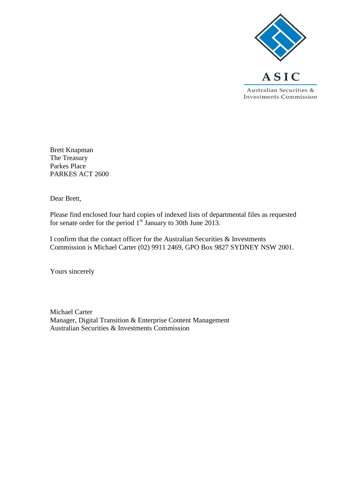

Brett Knapman The Treasury Parkes Place PARKES ACT 2600

Dear Brett,

Please find enclosed four hard copies of indexed lists of departmental files as requested for senate order for the period  $1<sup>st</sup>$  January to 30th June 2013.

I confirm that the contact officer for the Australian Securities & Investments Commission is Michael Carter (02) 9911 2469, GPO Box 9827 SYDNEY NSW 2001.

Yours sincerely

Michael Carter Manager, Digital Transition & Enterprise Content Management Australian Securities & Investments Commission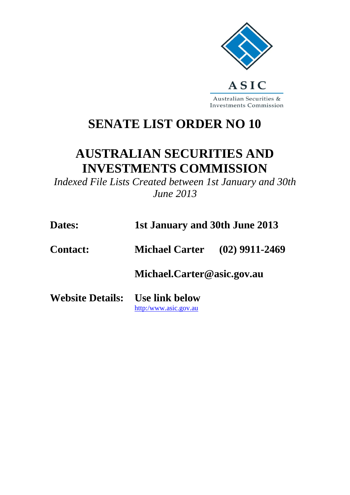

## **SENATE LIST ORDER NO 10**

## **AUSTRALIAN SECURITIES AND INVESTMENTS COMMISSION**

*Indexed File Lists Created between 1st January and 30th June 2013*

| 1st January and 30th June 2013 |
|--------------------------------|
|                                |

**Contact: Michael Carter (02) 9911-2469**

**Michael.Carter@asic.gov.au**

**Website Details: Use link below** [http:/www.asic.gov.au](http://www.asic.gov.au/asic/asic.nsf/byid/CA256AE90002F4BFCA256AFB007AB8C1?opendocument)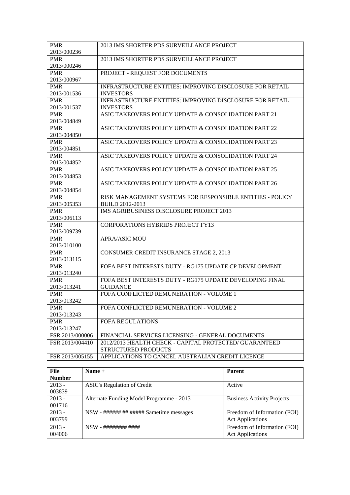| <b>PMR</b>      | 2013 IMS SHORTER PDS SURVEILLANCE PROJECT                                     |
|-----------------|-------------------------------------------------------------------------------|
| 2013/000236     |                                                                               |
| <b>PMR</b>      | 2013 IMS SHORTER PDS SURVEILLANCE PROJECT                                     |
| 2013/000246     |                                                                               |
| <b>PMR</b>      | PROJECT - REQUEST FOR DOCUMENTS                                               |
| 2013/000967     |                                                                               |
| <b>PMR</b>      | INFRASTRUCTURE ENTITIES: IMPROVING DISCLOSURE FOR RETAIL                      |
| 2013/001536     | <b>INVESTORS</b>                                                              |
| <b>PMR</b>      | INFRASTRUCTURE ENTITIES: IMPROVING DISCLOSURE FOR RETAIL                      |
| 2013/001537     | <b>INVESTORS</b>                                                              |
| <b>PMR</b>      | ASIC TAKEOVERS POLICY UPDATE & CONSOLIDATION PART 21                          |
| 2013/004849     |                                                                               |
| <b>PMR</b>      | ASIC TAKEOVERS POLICY UPDATE & CONSOLIDATION PART 22                          |
| 2013/004850     |                                                                               |
| <b>PMR</b>      | ASIC TAKEOVERS POLICY UPDATE & CONSOLIDATION PART 23                          |
| 2013/004851     |                                                                               |
| <b>PMR</b>      | ASIC TAKEOVERS POLICY UPDATE & CONSOLIDATION PART 24                          |
| 2013/004852     |                                                                               |
| <b>PMR</b>      | ASIC TAKEOVERS POLICY UPDATE & CONSOLIDATION PART 25                          |
| 2013/004853     |                                                                               |
| <b>PMR</b>      | ASIC TAKEOVERS POLICY UPDATE & CONSOLIDATION PART 26                          |
| 2013/004854     |                                                                               |
| <b>PMR</b>      | RISK MANAGEMENT SYSTEMS FOR RESPONSIBLE ENTITIES - POLICY                     |
| 2013/005353     | <b>BUILD 2012-2013</b>                                                        |
| <b>PMR</b>      | <b>IMS AGRIBUSINESS DISCLOSURE PROJECT 2013</b>                               |
| 2013/006113     |                                                                               |
| <b>PMR</b>      | <b>CORPORATIONS HYBRIDS PROJECT FY13</b>                                      |
| 2013/009739     |                                                                               |
| <b>PMR</b>      | <b>APRA/ASIC MOU</b>                                                          |
| 2013/010100     |                                                                               |
| <b>PMR</b>      | CONSUMER CREDIT INSURANCE STAGE 2, 2013                                       |
| 2013/013115     |                                                                               |
| <b>PMR</b>      | FOFA BEST INTERESTS DUTY - RG175 UPDATE CP DEVELOPMENT                        |
| 2013/013240     |                                                                               |
| <b>PMR</b>      | FOFA BEST INTERESTS DUTY - RG175 UPDATE DEVELOPING FINAL                      |
| 2013/013241     | <b>GUIDANCE</b>                                                               |
| <b>PMR</b>      | FOFA CONFLICTED REMUNERATION - VOLUME 1                                       |
| 2013/013242     |                                                                               |
| <b>PMR</b>      | FOFA CONFLICTED REMUNERATION - VOLUME 2                                       |
| 2013/013243     |                                                                               |
| <b>PMR</b>      | <b>FOFA REGULATIONS</b>                                                       |
| 2013/013247     |                                                                               |
| FSR 2013/000006 | FINANCIAL SERVICES LICENSING - GENERAL DOCUMENTS                              |
| FSR 2013/004410 | 2012/2013 HEALTH CHECK - CAPITAL PROTECTED/ GUARANTEED<br>STRUCTURED PRODUCTS |
| FSR 2013/005155 | APPLICATIONS TO CANCEL AUSTRALIAN CREDIT LICENCE                              |
|                 |                                                                               |

| File          | Name $+$                                 | <b>Parent</b>                     |
|---------------|------------------------------------------|-----------------------------------|
| <b>Number</b> |                                          |                                   |
| $2013 -$      | <b>ASIC's Regulation of Credit</b>       | Active                            |
| 003839        |                                          |                                   |
| $2013 -$      | Alternate Funding Model Programme - 2013 | <b>Business Activity Projects</b> |
| 001716        |                                          |                                   |
| $2013 -$      | NSW - ###### ## ###### Sametime messages | Freedom of Information (FOI)      |
| 003799        |                                          | <b>Act Applications</b>           |
| $2013 -$      |                                          | Freedom of Information (FOI)      |
| 004006        |                                          | <b>Act Applications</b>           |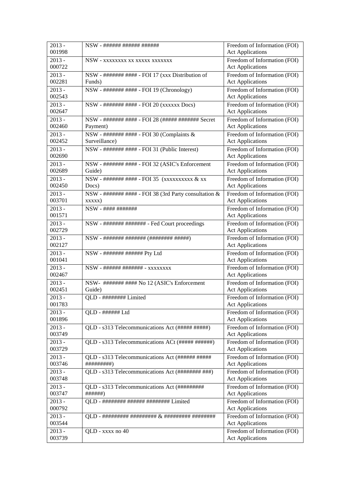| $2013 -$<br>001998 | NSW - ###### ###### ######                                      | Freedom of Information (FOI)<br><b>Act Applications</b> |
|--------------------|-----------------------------------------------------------------|---------------------------------------------------------|
| $2013 -$<br>000722 | NSW - xxxxxxxx xx xxxxx xxxxxxx                                 | Freedom of Information (FOI)<br><b>Act Applications</b> |
| $2013 -$<br>002281 | NSW - ####### #### - FOI 17 (xxx Distribution of<br>Funds)      | Freedom of Information (FOI)<br><b>Act Applications</b> |
| $2013 -$           | NSW - ####### #### - FOI 19 (Chronology)                        | Freedom of Information (FOI)                            |
| 002543             |                                                                 | <b>Act Applications</b>                                 |
| $2013 -$<br>002647 | NSW - ####### #### - FOI 20 (xxxxxx Docs)                       | Freedom of Information (FOI)<br><b>Act Applications</b> |
| $2013 -$<br>002460 | NSW - ####### #### - FOI 28 (##### ####### Secret<br>Payment)   | Freedom of Information (FOI)<br><b>Act Applications</b> |
| $2013 -$<br>002452 | NSW - ####### #### - FOI 30 (Complaints &<br>Surveillance)      | Freedom of Information (FOI)<br><b>Act Applications</b> |
| $2013 -$<br>002690 | NSW - ####### #### - FOI 31 (Public Interest)                   | Freedom of Information (FOI)<br><b>Act Applications</b> |
| $2013 -$<br>002689 | NSW - ####### #### - FOI 32 (ASIC's Enforcement<br>Guide)       | Freedom of Information (FOI)<br><b>Act Applications</b> |
| $2013 -$<br>002450 | NSW - ####### #### - FOI 35 (xxxxxxxxxx & xx<br>Docs)           | Freedom of Information (FOI)<br><b>Act Applications</b> |
| $2013 -$<br>003701 | NSW - ####### #### - FOI 38 (3rd Party consultation &<br>XXXXX) | Freedom of Information (FOI)<br><b>Act Applications</b> |
| $2013 -$<br>001571 | NSW - #### #######                                              | Freedom of Information (FOI)<br><b>Act Applications</b> |
| $2013 -$<br>002729 | NSW - ####### ####### - Fed Court proceedings                   | Freedom of Information (FOI)<br><b>Act Applications</b> |
| $2013 -$           |                                                                 | Freedom of Information (FOI)                            |
| 002127             |                                                                 | <b>Act Applications</b>                                 |
| $2013 -$<br>001041 | NSW - ####### ###### Pty Ltd                                    | Freedom of Information (FOI)<br><b>Act Applications</b> |
| $2013 -$<br>002467 | NSW - ###### ####### - xxxxxxxx                                 | Freedom of Information (FOI)<br><b>Act Applications</b> |
| $2013 -$<br>002451 | NSW- ####### #### No 12 (ASIC's Enforcement<br>Guide)           | Freedom of Information (FOI)<br><b>Act Applications</b> |
| $2013 -$<br>001783 | QLD - ######## Limited                                          | Freedom of Information (FOI)<br><b>Act Applications</b> |
| $2013 -$<br>001896 | QLD - ###### Ltd                                                | Freedom of Information (FOI)<br><b>Act Applications</b> |
| $2013 -$<br>003749 | QLD - s313 Telecommunications Act (##### #####)                 | Freedom of Information (FOI)<br><b>Act Applications</b> |
| $2013 -$<br>003729 | QLD - s313 Telecommunications ACt (##### ######)                | Freedom of Information (FOI)<br><b>Act Applications</b> |
| $2013 -$           | QLD - s313 Telecommunications Act (###### #####                 | Freedom of Information (FOI)                            |
| 003746             | ##########)                                                     | <b>Act Applications</b>                                 |
| $2013 -$<br>003748 | QLD - s313 Telecommunications Act (######## ###)                | Freedom of Information (FOI)<br><b>Act Applications</b> |
| $2013 -$<br>003747 | QLD - s313 Telecommunications Act (#########<br>#######)        | Freedom of Information (FOI)<br><b>Act Applications</b> |
| $2013 -$<br>000792 | QLD - ######## ###### ######## Limited                          | Freedom of Information (FOI)<br><b>Act Applications</b> |
| $2013 -$<br>003544 |                                                                 | Freedom of Information (FOI)<br><b>Act Applications</b> |
| $2013 -$<br>003739 | QLD - xxxx no 40                                                | Freedom of Information (FOI)<br><b>Act Applications</b> |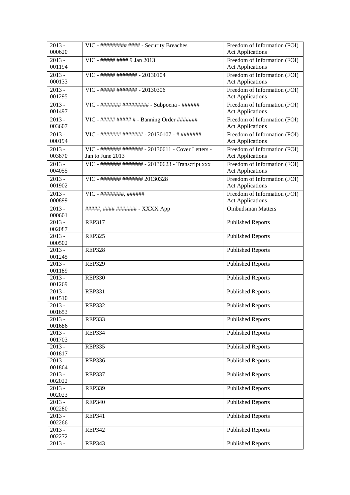| $2013 -$<br>000620  | VIC - ######### #### - Security Breaches           | Freedom of Information (FOI)<br><b>Act Applications</b> |
|---------------------|----------------------------------------------------|---------------------------------------------------------|
| $2013 -$            | VIC - ##### #### 9 Jan 2013                        | Freedom of Information (FOI)                            |
| 001194              |                                                    | <b>Act Applications</b>                                 |
| $2013 -$            | VIC - ##### ####### - 20130104                     | Freedom of Information (FOI)                            |
| 000133              |                                                    | <b>Act Applications</b>                                 |
|                     |                                                    |                                                         |
| $2013 -$            | VIC - ##### ####### - 20130306                     | Freedom of Information (FOI)                            |
| 001295              |                                                    | <b>Act Applications</b>                                 |
| $2013 -$            |                                                    | Freedom of Information (FOI)                            |
| 001497              |                                                    | <b>Act Applications</b>                                 |
| $2013 -$            | VIC - ##### ##### # - Banning Order ########       | Freedom of Information (FOI)                            |
| 003607              |                                                    | <b>Act Applications</b>                                 |
| $2013 -$            | VIC - ####### ######## - 20130107 - # ########     | Freedom of Information (FOI)                            |
| 000194              |                                                    | <b>Act Applications</b>                                 |
| $2013 -$            | VIC - ####### ####### - 20130611 - Cover Letters - | Freedom of Information (FOI)                            |
| 003870              | Jan to June 2013                                   | <b>Act Applications</b>                                 |
| $\overline{2013}$ - | VIC - ####### ####### - 20130623 - Transcript xxx  | Freedom of Information (FOI)                            |
| 004055              |                                                    | <b>Act Applications</b>                                 |
|                     |                                                    |                                                         |
| $2013 -$            | VIC - ####### ######## 20130328                    | Freedom of Information (FOI)                            |
| 001902              |                                                    | <b>Act Applications</b>                                 |
| $2013 -$            | $VIC - # # # # # # # # , # # # # # # #$            | Freedom of Information (FOI)                            |
| 000899              |                                                    | <b>Act Applications</b>                                 |
| $2013 -$            | #####, #### ######## - XXXX App                    | <b>Ombudsman Matters</b>                                |
| 000601              |                                                    |                                                         |
| $2013 -$            | <b>REP317</b>                                      | <b>Published Reports</b>                                |
| 002087              |                                                    |                                                         |
| $2013 -$            | <b>REP325</b>                                      | <b>Published Reports</b>                                |
| 000502              |                                                    |                                                         |
| $2013 -$            | <b>REP328</b>                                      | <b>Published Reports</b>                                |
| 001245              |                                                    |                                                         |
| $2013 -$            | <b>REP329</b>                                      | <b>Published Reports</b>                                |
| 001189              |                                                    |                                                         |
| $2013 -$            | <b>REP330</b>                                      | <b>Published Reports</b>                                |
| 001269              |                                                    |                                                         |
| $2013 -$            | <b>REP331</b>                                      | <b>Published Reports</b>                                |
| 001510              |                                                    |                                                         |
| $2013 -$            | <b>REP332</b>                                      | <b>Published Reports</b>                                |
| 001653              |                                                    |                                                         |
| $2013 -$            | <b>REP333</b>                                      | <b>Published Reports</b>                                |
| 001686              |                                                    |                                                         |
| $2013 -$            | <b>REP334</b>                                      | <b>Published Reports</b>                                |
| 001703              |                                                    |                                                         |
| $2013 -$            | <b>REP335</b>                                      | <b>Published Reports</b>                                |
| 001817              |                                                    |                                                         |
| 2013 -              | <b>REP336</b>                                      | <b>Published Reports</b>                                |
| 001864              |                                                    |                                                         |
| $2013 -$            | <b>REP337</b>                                      | <b>Published Reports</b>                                |
| 002022              |                                                    |                                                         |
| $2013 -$            | <b>REP339</b>                                      | <b>Published Reports</b>                                |
| 002023              |                                                    |                                                         |
| $2013 -$            | <b>REP340</b>                                      | <b>Published Reports</b>                                |
| 002280              |                                                    |                                                         |
| $2013 -$            | <b>REP341</b>                                      | <b>Published Reports</b>                                |
| 002266              |                                                    |                                                         |
| $2013 -$            | <b>REP342</b>                                      | <b>Published Reports</b>                                |
| 002272              |                                                    |                                                         |
| $2013 -$            | <b>REP343</b>                                      | <b>Published Reports</b>                                |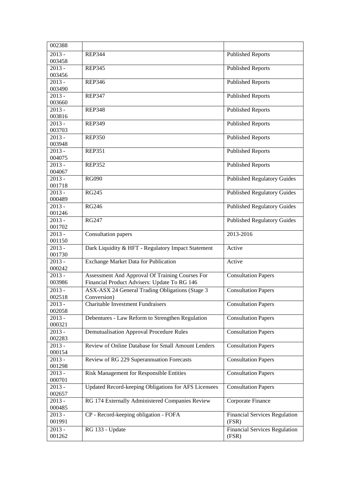| 002388                        |                                                                                                 |                                               |
|-------------------------------|-------------------------------------------------------------------------------------------------|-----------------------------------------------|
| $2013 -$<br>003458            | <b>REP344</b>                                                                                   | <b>Published Reports</b>                      |
| $2013 -$<br>003456            | <b>REP345</b>                                                                                   | <b>Published Reports</b>                      |
| $\overline{2013}$ -<br>003490 | <b>REP346</b>                                                                                   | <b>Published Reports</b>                      |
| $2013 -$<br>003660            | <b>REP347</b>                                                                                   | <b>Published Reports</b>                      |
| $2013 -$<br>003816            | <b>REP348</b>                                                                                   | <b>Published Reports</b>                      |
| $2013 -$                      | <b>REP349</b>                                                                                   | <b>Published Reports</b>                      |
| 003703<br>$2013 -$            | <b>REP350</b>                                                                                   | <b>Published Reports</b>                      |
| 003948<br>$2013 -$            | <b>REP351</b>                                                                                   | <b>Published Reports</b>                      |
| 004075<br>$2013 -$            | <b>REP352</b>                                                                                   | <b>Published Reports</b>                      |
| 004067<br>$2013 -$            | <b>RG090</b>                                                                                    | <b>Published Regulatory Guides</b>            |
| 001718<br>$2013 -$            | <b>RG245</b>                                                                                    | <b>Published Regulatory Guides</b>            |
| 000489<br>$2013 -$            | <b>RG246</b>                                                                                    | <b>Published Regulatory Guides</b>            |
| 001246<br>$2013 -$            | <b>RG247</b>                                                                                    | <b>Published Regulatory Guides</b>            |
| 001702<br>$2013 -$            | Consultation papers                                                                             | 2013-2016                                     |
| 001150                        |                                                                                                 |                                               |
| $2013 -$<br>001730            | Dark Liquidity & HFT - Regulatory Impact Statement                                              | Active                                        |
| $2013 -$<br>000242            | Exchange Market Data for Publication                                                            | Active                                        |
| $2013 -$<br>003986            | Assessment And Approval Of Training Courses For<br>Financial Product Advisers: Update To RG 146 | <b>Consultation Papers</b>                    |
| $2013 -$<br>002518            | ASX-ASX 24 General Trading Obligations (Stage 3<br>Conversion)                                  | <b>Consultation Papers</b>                    |
| $2013 -$<br>002058            | Charitable Investment Fundraisers                                                               | <b>Consultation Papers</b>                    |
| $2013 -$<br>000321            | Debentures - Law Reform to Strengthen Regulation                                                | <b>Consultation Papers</b>                    |
| $2013 -$<br>002283            | <b>Demutualisation Approval Procedure Rules</b>                                                 | <b>Consultation Papers</b>                    |
| $2013 -$<br>000154            | Review of Online Database for Small Amount Lenders                                              | <b>Consultation Papers</b>                    |
| $2013 -$<br>001298            | Review of RG 229 Superannuation Forecasts                                                       | <b>Consultation Papers</b>                    |
| $2013 -$<br>000701            | Risk Management for Responsible Entities                                                        | <b>Consultation Papers</b>                    |
| $2013 -$<br>002657            | Updated Record-keeping Obligations for AFS Licensees                                            | <b>Consultation Papers</b>                    |
| $2013 -$<br>000485            | RG 174 Externally Administered Companies Review                                                 | Corporate Finance                             |
| 2013 -<br>001991              | CP - Record-keeping obligation - FOFA                                                           | <b>Financial Services Regulation</b><br>(FSR) |
| $2013 -$<br>001262            | RG 133 - Update                                                                                 | <b>Financial Services Regulation</b><br>(FSR) |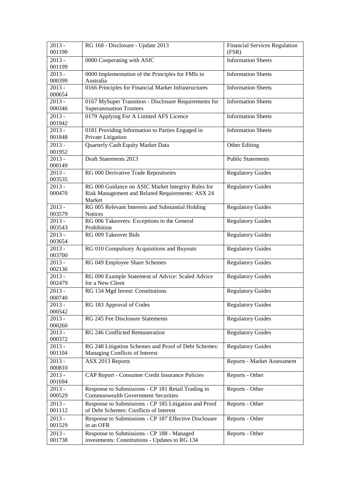| $2013 -$<br>001190 | RG 168 - Disclosure - Update 2013                                                               | <b>Financial Services Regulation</b><br>(FSR) |
|--------------------|-------------------------------------------------------------------------------------------------|-----------------------------------------------|
| $2013 -$<br>001199 | 0000 Cooperating with ASIC                                                                      | <b>Information Sheets</b>                     |
| $2013 -$           | 0000 Implementation of the Principles for FMIs in<br>Australia                                  | <b>Information Sheets</b>                     |
| 000399<br>$2013 -$ | 0166 Principles for Financial Market Infrastructures                                            | <b>Information Sheets</b>                     |
| 000654             |                                                                                                 |                                               |
| $2013 -$<br>000346 | 0167 MySuper Transition - Disclosure Requirements for<br><b>Superannuation Trustees</b>         | <b>Information Sheets</b>                     |
| $2013 -$           | 0179 Applying For A Limited AFS Licence                                                         | <b>Information Sheets</b>                     |
| 001942             |                                                                                                 |                                               |
| $2013 -$<br>001848 | 0181 Providing Information to Parties Engaged in<br>Private Litigation                          | <b>Information Sheets</b>                     |
| $2013 -$<br>001952 | Quarterly Cash Equity Market Data                                                               | Other Editing                                 |
| $2013 -$<br>000149 | Draft Statements 2013                                                                           | <b>Public Statements</b>                      |
| $2013 -$<br>003535 | RG 000 Derivative Trade Repositories                                                            | Regulatory Guides                             |
| $2013 -$           | RG 000 Guidance on ASIC Market Integrity Rules for                                              | <b>Regulatory Guides</b>                      |
| 000470             | Risk Management and Related Requirements: ASX 24<br>Market                                      |                                               |
| $2013 -$           | RG 005 Relevant Interests and Substantial Holding                                               | <b>Regulatory Guides</b>                      |
| 003579             | Notices                                                                                         |                                               |
| $2013 -$           | RG 006 Takeovers: Exceptions to the General                                                     | <b>Regulatory Guides</b>                      |
| 003543<br>$2013 -$ | Prohibition<br>RG 009 Takeover Bids                                                             | <b>Regulatory Guides</b>                      |
| 003654             |                                                                                                 |                                               |
| $2013 -$<br>003700 | RG 010 Compulsory Acquisitions and Buyouts                                                      | <b>Regulatory Guides</b>                      |
| $2013 -$<br>002136 | RG 049 Employee Share Schemes                                                                   | <b>Regulatory Guides</b>                      |
| $2013 -$           | RG 090 Example Statement of Advice: Scaled Advice                                               | <b>Regulatory Guides</b>                      |
| 002479<br>$2013 -$ | for a New Client                                                                                |                                               |
| 000740             | RG 134 Mgd Invest: Constitutions                                                                | <b>Regulatory Guides</b>                      |
| $2013 -$<br>000542 | RG 183 Approval of Codes                                                                        | <b>Regulatory Guides</b>                      |
| $2013 -$           | RG 245 Fee Disclosure Statements                                                                | <b>Regulatory Guides</b>                      |
| 000260             |                                                                                                 |                                               |
| $2013 -$<br>000372 | RG 246 Conflicted Remuneration                                                                  | <b>Regulatory Guides</b>                      |
| $2013 -$<br>001104 | RG 248 Litigation Schemes and Proof of Debt Schemes:                                            | <b>Regulatory Guides</b>                      |
| $2013 -$           | Managing Conflicts of Interest<br>ASX 2013 Reports                                              | Reports - Market Assessment                   |
| 000810             |                                                                                                 |                                               |
| $2013 -$<br>001694 | CAP Report - Consumer Credit Insurance Policies                                                 | Reports - Other                               |
| $2013 -$<br>000529 | Response to Submissions - CP 181 Retail Trading in<br><b>Commonwealth Government Securities</b> | Reports - Other                               |
| $2013 -$           | Response to Submissions - CP 185 Litigation and Proof                                           | Reports - Other                               |
| 001112             | of Debt Schemes: Conflicts of Interest                                                          |                                               |
| $2013 -$<br>001529 | Response to Submissions - CP 187 Effective Disclosure<br>in an OFR                              | Reports - Other                               |
| $2013 -$<br>001738 | Response to Submissions - CP 188 - Managed<br>investments: Constitutions - Updates to RG 134    | Reports - Other                               |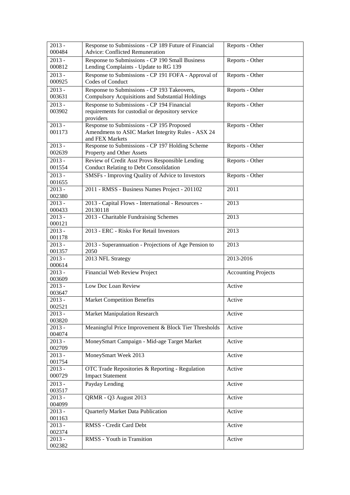| $2013 -$<br>000484 | Response to Submissions - CP 189 Future of Financial<br><b>Advice: Conflicted Remuneration</b> | Reports - Other            |
|--------------------|------------------------------------------------------------------------------------------------|----------------------------|
| $2013 -$           | Response to Submissions - CP 190 Small Business                                                | Reports - Other            |
| 000812             | Lending Complaints - Update to RG 139                                                          |                            |
| $2013 -$           | Response to Submissions - CP 191 FOFA - Approval of                                            | Reports - Other            |
| 000925             | Codes of Conduct                                                                               |                            |
| $2013 -$           | Response to Submissions - CP 193 Takeovers,                                                    | Reports - Other            |
| 003631             | <b>Compulsory Acquisitions and Substantial Holdings</b>                                        |                            |
| $2013 -$           | Response to Submissions - CP 194 Financial                                                     | Reports - Other            |
| 003902             | requirements for custodial or depository service                                               |                            |
|                    | providers                                                                                      |                            |
| $2013 -$           | Response to Submissions - CP 195 Proposed                                                      | Reports - Other            |
| 001173             | Amendmens to ASIC Market Integrity Rules - ASX 24                                              |                            |
|                    | and FEX Markets                                                                                |                            |
| $2013 -$           | Response to Submissions - CP 197 Holding Scheme                                                | Reports - Other            |
| 002639             | Property and Other Assets                                                                      |                            |
| $2013 -$           | Review of Credit Asst Provs Responsible Lending                                                | Reports - Other            |
| 001554             | <b>Conduct Relating to Debt Consolidation</b>                                                  |                            |
| $2013 -$           | SMSFs - Improving Quality of Advice to Investors                                               | Reports - Other            |
| 001655             |                                                                                                |                            |
| $2013 -$           | 2011 - RMSS - Business Names Project - 201102                                                  | 2011                       |
| 002380             | 2013 - Capital Flows - International - Resources -                                             | 2013                       |
| $2013 -$<br>000433 | 20130118                                                                                       |                            |
| $2013 -$           | 2013 - Charitable Fundraising Schemes                                                          | 2013                       |
| 000121             |                                                                                                |                            |
| $2013 -$           | 2013 - ERC - Risks For Retail Investors                                                        | 2013                       |
| 001178             |                                                                                                |                            |
| $2013 -$           | 2013 - Superannuation - Projections of Age Pension to                                          | 2013                       |
| 001357             | 2050                                                                                           |                            |
| $2013 -$           | 2013 NFL Strategy                                                                              | 2013-2016                  |
| 000614             |                                                                                                |                            |
| $2013 -$<br>003609 | Financial Web Review Project                                                                   | <b>Accounting Projects</b> |
| $2013 -$           | Low Doc Loan Review                                                                            | Active                     |
| 003647             |                                                                                                |                            |
| $2013 -$           | <b>Market Competition Benefits</b>                                                             | Active                     |
| 002521             |                                                                                                |                            |
| $2013 -$           | <b>Market Manipulation Research</b>                                                            | Active                     |
| 003820             |                                                                                                |                            |
| $2013 -$<br>004074 | Meaningful Price Improvement & Block Tier Thresholds                                           | Active                     |
| $2013 -$           | MoneySmart Campaign - Mid-age Target Market                                                    | Active                     |
| 002709             |                                                                                                |                            |
| $2013 -$           | MoneySmart Week 2013                                                                           | Active                     |
| 001754             |                                                                                                |                            |
| $2013 -$           | OTC Trade Repositories & Reporting - Regulation                                                | Active                     |
| 000729             | <b>Impact Statement</b>                                                                        |                            |
| $2013 -$           | Payday Lending                                                                                 | Active                     |
| 003517             |                                                                                                |                            |
| $2013 -$           | QRMR - Q3 August 2013                                                                          | Active                     |
| 004099             |                                                                                                |                            |
| $2013 -$           | Quarterly Market Data Publication                                                              | Active                     |
| 001163<br>$2013 -$ | RMSS - Credit Card Debt                                                                        | Active                     |
| 002374             |                                                                                                |                            |
| $2013 -$           | RMSS - Youth in Transition                                                                     | Active                     |
| 002382             |                                                                                                |                            |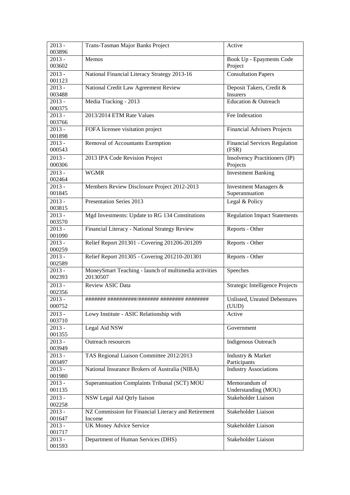| $2013 -$<br>003896 | Trans-Tasman Major Banks Project                                  | Active                                    |
|--------------------|-------------------------------------------------------------------|-------------------------------------------|
| $2013 -$           | Memos                                                             | Book Up - Epayments Code                  |
| 003602             |                                                                   | Project                                   |
| $2013 -$           | National Financial Literacy Strategy 2013-16                      | <b>Consultation Papers</b>                |
| 001123             |                                                                   |                                           |
| $2013 -$<br>003488 | National Credit Law Agreement Review                              | Deposit Takers, Credit &<br>Insurers      |
| $2013 -$           | Media Tracking - 2013                                             | Education & Outreach                      |
| 000375             |                                                                   |                                           |
| $2013 -$<br>003766 | 2013/2014 ETM Rate Values                                         | Fee Indexation                            |
| $2013 -$<br>001898 | FOFA licensee visitation project                                  | <b>Financial Advisers Projects</b>        |
| $2013 -$           | Removal of Accountants Exemption                                  | <b>Financial Services Regulation</b>      |
| 000543             |                                                                   | (FSR)                                     |
| $2013 -$<br>000306 | 2013 IPA Code Revision Project                                    | Insolvency Practitioners (IP)<br>Projects |
| $2013 -$           | <b>WGMR</b>                                                       | <b>Investment Banking</b>                 |
| 002464             |                                                                   |                                           |
| $2013 -$<br>001845 | Members Review Disclosure Project 2012-2013                       | Investment Managers &<br>Superannuation   |
| $2013 -$           | Presentation Series 2013                                          | Legal & Policy                            |
| 003815             |                                                                   |                                           |
| $2013 -$<br>003570 | Mgd Investments: Update to RG 134 Constitutions                   | <b>Regulation Impact Statements</b>       |
| $2013 -$<br>001090 | Financial Literacy - National Strategy Review                     | Reports - Other                           |
| $2013 -$<br>000259 | Relief Report 201301 - Covering 201206-201209                     | Reports - Other                           |
| $2013 -$<br>002589 | Relief Report 201305 - Covering 201210-201301                     | Reports - Other                           |
| $2013 -$<br>002393 | MoneySmart Teaching - launch of multimedia activities<br>20130507 | Speeches                                  |
| $2013 -$<br>002356 | Review ASIC Data                                                  | Strategic Intelligence Projects           |
| $2013 -$<br>000752 |                                                                   | Unlisted, Unrated Debentures<br>(UUD)     |
| $2013 -$<br>003710 | Lowy Institute - ASIC Relationship with                           | Active                                    |
| $2013 -$<br>001355 | Legal Aid NSW                                                     | Government                                |
| $2013 -$<br>003949 | Outreach resources                                                | <b>Indigenous Outreach</b>                |
| $2013 -$<br>003497 | TAS Regional Liaison Committee 2012/2013                          | Industry & Market<br>Participants         |
| $2013 -$           | National Insurance Brokers of Australia (NIBA)                    | <b>Industry Associations</b>              |
| 001980             |                                                                   |                                           |
| $2013 -$           | Superannuation Complaints Tribunal (SCT) MOU                      | Memorandum of                             |
| 001135             |                                                                   | Understanding (MOU)                       |
| $2013 -$           | NSW Legal Aid Qtrly liaison                                       | Stakeholder Liaison                       |
| 002258<br>$2013 -$ | NZ Commission for Financial Literacy and Retirement               | Stakeholder Liaison                       |
| 001647             | Income                                                            |                                           |
| $2013 -$           | <b>UK Money Advice Service</b>                                    | Stakeholder Liaison                       |
| 001717             |                                                                   |                                           |
| 2013 -             | Department of Human Services (DHS)                                | Stakeholder Liaison                       |
| 001593             |                                                                   |                                           |